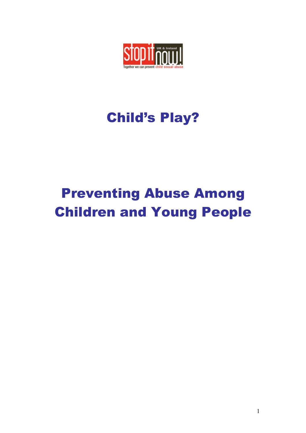

# Child's Play?

# Preventing Abuse Among Children and Young People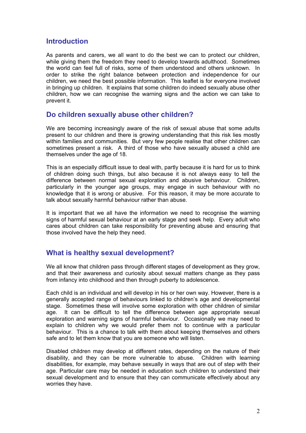# **Introduction**

As parents and carers, we all want to do the best we can to protect our children, while giving them the freedom they need to develop towards adulthood. Sometimes the world can feel full of risks, some of them understood and others unknown. In order to strike the right balance between protection and independence for our children, we need the best possible information. This leaflet is for everyone involved in bringing up children. It explains that some children do indeed sexually abuse other children, how we can recognise the warning signs and the action we can take to prevent it.

# **Do children sexually abuse other children?**

We are becoming increasingly aware of the risk of sexual abuse that some adults present to our children and there is growing understanding that this risk lies mostly within families and communities. But very few people realise that other children can sometimes present a risk. A third of those who have sexually abused a child are themselves under the age of 18.

This is an especially difficult issue to deal with, partly because it is hard for us to think of children doing such things, but also because it is not always easy to tell the difference between normal sexual exploration and abusive behaviour. Children, particularly in the younger age groups, may engage in such behaviour with no knowledge that it is wrong or abusive. For this reason, it may be more accurate to talk about sexually harmful behaviour rather than abuse.

It is important that we all have the information we need to recognise the warning signs of harmful sexual behaviour at an early stage and seek help. Every adult who cares about children can take responsibility for preventing abuse and ensuring that those involved have the help they need.

# **What is healthy sexual development?**

We all know that children pass through different stages of development as they grow, and that their awareness and curiosity about sexual matters change as they pass from infancy into childhood and then through puberty to adolescence.

Each child is an individual and will develop in his or her own way. However, there is a generally accepted range of behaviours linked to children's age and developmental stage. Sometimes these will involve some exploration with other children of similar age. It can be difficult to tell the difference between age appropriate sexual exploration and warning signs of harmful behaviour. Occasionally we may need to explain to children why we would prefer them not to continue with a particular behaviour. This is a chance to talk with them about keeping themselves and others safe and to let them know that you are someone who will listen.

Disabled children may develop at different rates, depending on the nature of their disability, and they can be more vulnerable to abuse. Children with learning disabilities, for example, may behave sexually in ways that are out of step with their age. Particular care may be needed in education such children to understand their sexual development and to ensure that they can communicate effectively about any worries they have.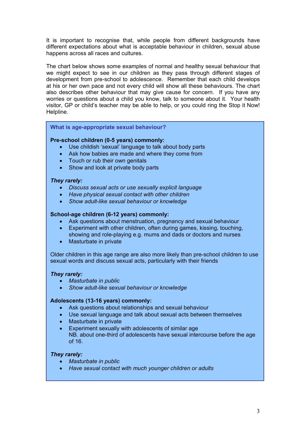It is important to recognise that, while people from different backgrounds have different expectations about what is acceptable behaviour in children, sexual abuse happens across all races and cultures.

The chart below shows some examples of normal and healthy sexual behaviour that we might expect to see in our children as they pass through different stages of development from pre-school to adolescence. Remember that each child develops at his or her own pace and not every child will show all these behaviours. The chart also describes other behaviour that may give cause for concern. If you have any worries or questions about a child you know, talk to someone about it. Your health visitor, GP or child's teacher may be able to help, or you could ring the Stop it Now! Helpline.

#### **What is age-appropriate sexual behaviour?**

#### **Pre-school children (0-5 years) commonly:**

- Use childish 'sexual' language to talk about body parts
- Ask how babies are made and where they come from
- Touch or rub their own genitals
- Show and look at private body parts

#### *They rarely:*

- *Discuss sexual acts or use sexually explicit language*
- *Have physical sexual contact with other children*
- *Show adult-like sexual behaviour or knowledge*

#### **School-age children (6-12 years) commonly:**

- Ask questions about menstruation, pregnancy and sexual behaviour
- Experiment with other children, often during games, kissing, touching, showing and role-playing e.g. mums and dads or doctors and nurses
- Masturbate in private

Older children in this age range are also more likely than pre-school children to use sexual words and discuss sexual acts, particularly with their friends

#### *They rarely:*

- *Masturbate in public*
- *Show adult-like sexual behaviour or knowledge*

#### **Adolescents (13-16 years) commonly:**

- Ask questions about relationships and sexual behaviour
- Use sexual language and talk about sexual acts between themselves
- Masturbate in private
- Experiment sexually with adolescents of similar age NB. about one-third of adolescents have sexual intercourse before the age of 16.

#### *They rarely:*

- *Masturbate in public*
- *Have sexual contact with much younger children or adults*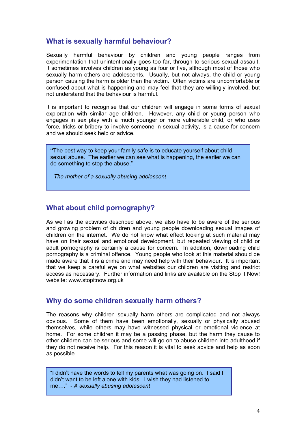# **What is sexually harmful behaviour?**

Sexually harmful behaviour by children and young people ranges from experimentation that unintentionally goes too far, through to serious sexual assault. It sometimes involves children as young as four or five, although most of those who sexually harm others are adolescents. Usually, but not always, the child or young person causing the harm is older than the victim. Often victims are uncomfortable or confused about what is happening and may feel that they are willingly involved, but not understand that the behaviour is harmful.

It is important to recognise that our children will engage in some forms of sexual exploration with similar age children. However, any child or young person who engages in sex play with a much younger or more vulnerable child, or who uses force, tricks or bribery to involve someone in sexual activity, is a cause for concern and we should seek help or advice.

"The best way to keep your family safe is to educate yourself about child sexual abuse. The earlier we can see what is happening, the earlier we can do something to stop the abuse."

*- The mother of a sexually abusing adolescent*

# **What about child pornography?**

As well as the activities described above, we also have to be aware of the serious and growing problem of children and young people downloading sexual images of children on the internet. We do not know what effect looking at such material may have on their sexual and emotional development, but repeated viewing of child or adult pornography is certainly a cause for concern. In addition, downloading child pornography is a criminal offence. Young people who look at this material should be made aware that it is a crime and may need help with their behaviour. It is important that we keep a careful eye on what websites our children are visiting and restrict access as necessary. Further information and links are available on the Stop it Now! website: [www.stopitnow.org.uk](http://www.stopitnow.org.uk/)

#### **Why do some children sexually harm others?**

The reasons why children sexually harm others are complicated and not always obvious. Some of them have been emotionally, sexually or physically abused themselves, while others may have witnessed physical or emotional violence at home. For some children it may be a passing phase, but the harm they cause to other children can be serious and some will go on to abuse children into adulthood if they do not receive help. For this reason it is vital to seek advice and help as soon as possible.

"I didn't have the words to tell my parents what was going on. I said I didn't want to be left alone with kids. I wish they had listened to me…." *- A sexually abusing adolescent*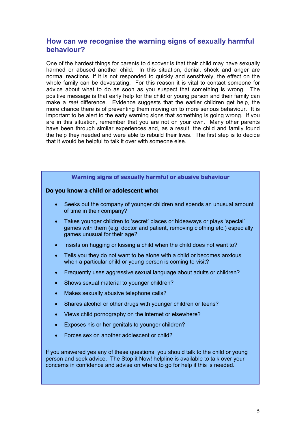# **How can we recognise the warning signs of sexually harmful behaviour?**

One of the hardest things for parents to discover is that their child may have sexually harmed or abused another child. In this situation, denial, shock and anger are normal reactions. If it is not responded to quickly and sensitively, the effect on the whole family can be devastating. For this reason it is vital to contact someone for advice about what to do as soon as you suspect that something is wrong. The positive message is that early help for the child or young person and their family can make a *real* difference. Evidence suggests that the earlier children get help, the more chance there is of preventing them moving on to more serious behaviour. It is important to be alert to the early warning signs that something is going wrong. If you are in this situation, remember that you are not on your own. Many other parents have been through similar experiences and, as a result, the child and family found the help they needed and were able to rebuild their lives. The first step is to decide that it would be helpful to talk it over with someone else.

#### **Warning signs of sexually harmful or abusive behaviour**

#### **Do you know a child or adolescent who:**

- Seeks out the company of younger children and spends an unusual amount of time in their company?
- Takes younger children to 'secret' places or hideaways or plays 'special' games with them (e.g. doctor and patient, removing clothing etc.) especially games unusual for their age?
- Insists on hugging or kissing a child when the child does not want to?
- Tells you they do not want to be alone with a child or becomes anxious when a particular child or young person is coming to visit?
- Frequently uses aggressive sexual language about adults or children?
- Shows sexual material to younger children?
- Makes sexually abusive telephone calls?
- Shares alcohol or other drugs with younger children or teens?
- Views child pornography on the internet or elsewhere?
- Exposes his or her genitals to younger children?
- Forces sex on another adolescent or child?

If you answered yes any of these questions, you should talk to the child or young person and seek advice. The Stop it Now! helpline is available to talk over your concerns in confidence and advise on where to go for help if this is needed.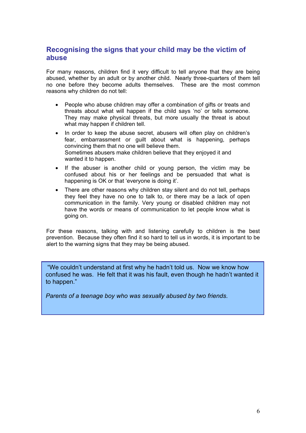# **Recognising the signs that your child may be the victim of abuse**

For many reasons, children find it very difficult to tell anyone that they are being abused, whether by an adult or by another child. Nearly three-quarters of them tell no one before they become adults themselves. These are the most common reasons why children do not tell:

- People who abuse children may offer a combination of gifts or treats and threats about what will happen if the child says 'no' or tells someone. They may make physical threats, but more usually the threat is about what may happen if children tell.
- In order to keep the abuse secret, abusers will often play on children's fear, embarrassment or guilt about what is happening, perhaps convincing them that no one will believe them. Sometimes abusers make children believe that they enjoyed it and wanted it to happen.
- If the abuser is another child or young person, the victim may be confused about his or her feelings and be persuaded that what is happening is OK or that 'everyone is doing it'.
- There are other reasons why children stay silent and do not tell, perhaps they feel they have no one to talk to, or there may be a lack of open communication in the family. Very young or disabled children may not have the words or means of communication to let people know what is going on.

For these reasons, talking with and listening carefully to children is the best prevention. Because they often find it so hard to tell us in words, it is important to be alert to the warning signs that they may be being abused.

 "We couldn't understand at first why he hadn't told us. Now we know how confused he was. He felt that it was his fault, even though he hadn't wanted it to happen."

*Parents of a teenage boy who was sexually abused by two friends*.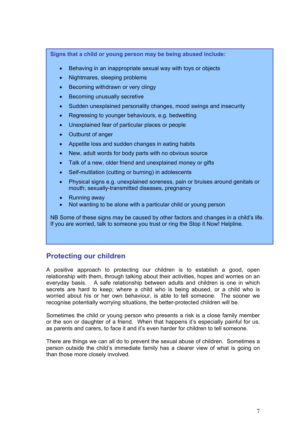**Signs that a child or young person may be being abused include:** 

- Behaving in an inappropriate sexual way with toys or objects
- Nightmares, sleeping problems
- Becoming withdrawn or very clingy
- Becoming unusually secretive
- Sudden unexplained personality changes, mood swings and insecurity
- Regressing to younger behaviours, e.g. bedwetting
- Unexplained fear of particular places or people
- Outburst of anger
- Appetite loss and sudden changes in eating habits
- New, adult words for body parts with no obvious source
- Talk of a new, older friend and unexplained money or gifts
- Self-mutilation (cutting or burning) in adolescents
- Physical signs e.g. unexplained soreness, pain or bruises around genitals or mouth; sexually-transmitted diseases, pregnancy
- Running away
- Not wanting to be alone with a particular child or young person

NB Some of these signs may be caused by other factors and changes in a child's life. If you are worried, talk to someone you trust or ring the Stop it Now! Helpline.

# **Protecting our children**

A positive approach to protecting our children is to establish a good, open relationship with them, through talking about their activities, hopes and worries on an everyday basis. A safe relationship between adults and children is one in which secrets are hard to keep; where a child who is being abused, or a child who is worried about his or her own behaviour, is able to tell someone. The sooner we recognise potentially worrying situations, the better-protected children will be.

Sometimes the child or young person who presents a risk is a close family member or the son or daughter of a friend. When that happens it's especially painful for us, as parents and carers, to face it and it's even harder for children to tell someone.

There are things we can all do to prevent the sexual abuse of children. Sometimes a person outside the child's immediate family has a clearer view of what is going on than those more closely involved.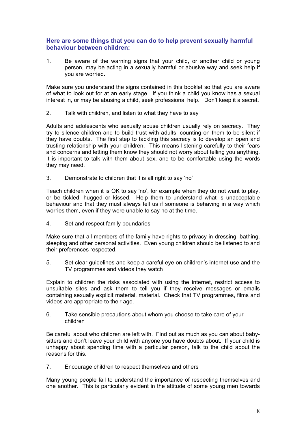#### **Here are some things that you can do to help prevent sexually harmful behaviour between children:**

1. Be aware of the warning signs that your child, or another child or young person, may be acting in a sexually harmful or abusive way and seek help if you are worried.

Make sure you understand the signs contained in this booklet so that you are aware of what to look out for at an early stage. If you think a child you know has a sexual interest in, or may be abusing a child, seek professional help. Don't keep it a secret.

2. Talk with children, and listen to what they have to say

Adults and adolescents who sexually abuse children usually rely on secrecy. They try to silence children and to build trust with adults, counting on them to be silent if they have doubts. The first step to tackling this secrecy is to develop an open and trusting relationship with your children. This means listening carefully to their fears and concerns and letting them know they should not worry about telling you anything. It is important to talk with them about sex, and to be comfortable using the words they may need.

3. Demonstrate to children that it is all right to say 'no'

Teach children when it is OK to say 'no', for example when they do not want to play, or be tickled, hugged or kissed. Help them to understand what is unacceptable behaviour and that they must always tell us if someone is behaving in a way which worries them, even if they were unable to say no at the time.

4. Set and respect family boundaries

Make sure that all members of the family have rights to privacy in dressing, bathing, sleeping and other personal activities. Even young children should be listened to and their preferences respected.

5. Set clear guidelines and keep a careful eye on children's internet use and the TV programmes and videos they watch

Explain to children the risks associated with using the internet, restrict access to unsuitable sites and ask them to tell you if they receive messages or emails containing sexually explicit material. material. Check that TV programmes, films and videos are appropriate to their age.

6. Take sensible precautions about whom you choose to take care of your children

Be careful about who children are left with. Find out as much as you can about babysitters and don't leave your child with anyone you have doubts about. If your child is unhappy about spending time with a particular person, talk to the child about the reasons for this.

7. Encourage children to respect themselves and others

Many young people fail to understand the importance of respecting themselves and one another. This is particularly evident in the attitude of some young men towards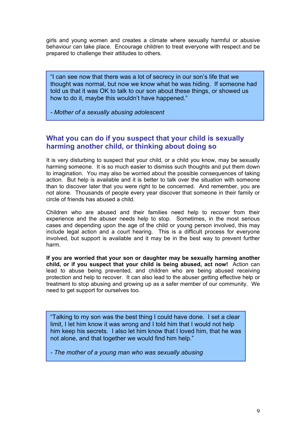girls and young women and creates a climate where sexually harmful or abusive behaviour can take place. Encourage children to treat everyone with respect and be prepared to challenge their attitudes to others.

"I can see now that there was a lot of secrecy in our son's life that we thought was normal, but now we know what he was hiding. If someone had told us that it was OK to talk to our son about these things, or showed us how to do it, maybe this wouldn't have happened."

*- Mother of a sexually abusing adolescent* 

# **What you can do if you suspect that your child is sexually harming another child, or thinking about doing so**

It is very disturbing to suspect that your child, or a child you know, may be sexually harming someone. It is so much easier to dismiss such thoughts and put them down to imagination. You may also be worried about the possible consequences of taking action. But help is available and it is better to talk over the situation with someone than to discover later that you were right to be concerned. And remember, you are not alone. Thousands of people every year discover that someone in their family or circle of friends has abused a child.

Children who are abused and their families need help to recover from their experience and the abuser needs help to stop. Sometimes, in the most serious cases and depending upon the age of the child or young person involved, this may include legal action and a court hearing. This is a difficult process for everyone involved, but support is available and it may be in the best way to prevent further harm.

**If you are worried that your son or daughter may be sexually harming another child, or if you suspect that your child is being abused, act now!** Action can lead to abuse being prevented, and children who are being abused receiving protection and help to recover. It can also lead to the abuser getting effective help or treatment to stop abusing and growing up as a safer member of our community. We need to get support for ourselves too.

"Talking to my son was the best thing I could have done. I set a clear limit, I let him know it was wrong and I told him that I would not help him keep his secrets. I also let him know that I loved him, that he was not alone, and that together we would find him help."

*- The mother of a young man who was sexually abusing*